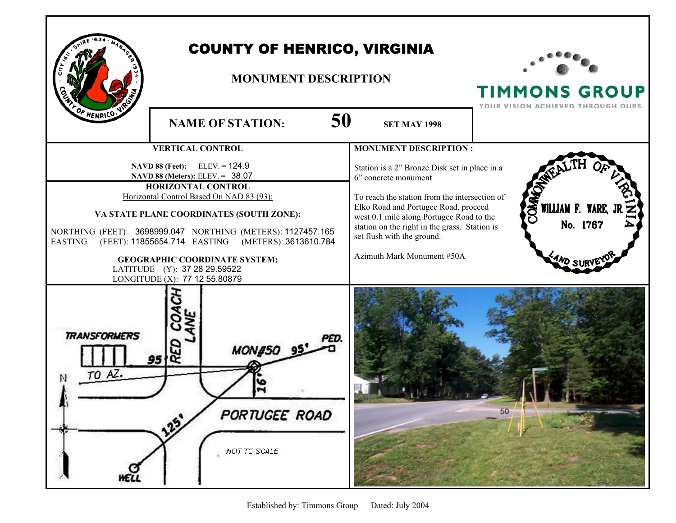